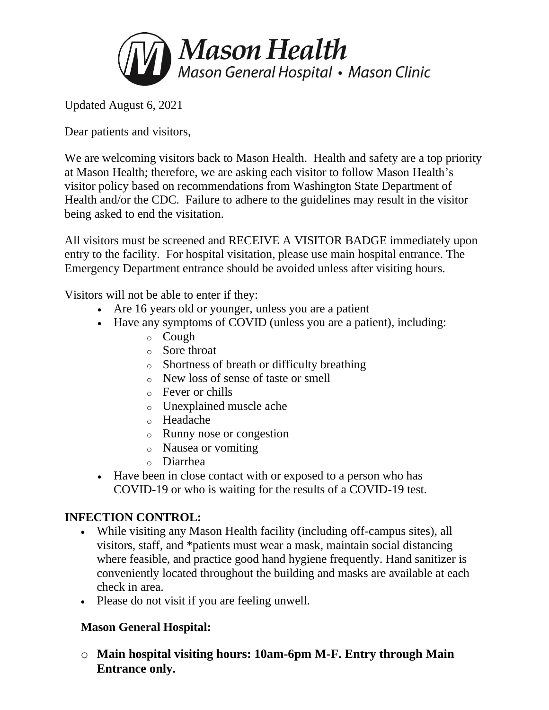

Updated August 6, 2021

Dear patients and visitors,

We are welcoming visitors back to Mason Health. Health and safety are a top priority at Mason Health; therefore, we are asking each visitor to follow Mason Health's visitor policy based on recommendations from Washington State Department of Health and/or the CDC. Failure to adhere to the guidelines may result in the visitor being asked to end the visitation.

All visitors must be screened and RECEIVE A VISITOR BADGE immediately upon entry to the facility. For hospital visitation, please use main hospital entrance. The Emergency Department entrance should be avoided unless after visiting hours.

Visitors will not be able to enter if they:

- Are 16 years old or younger, unless you are a patient
- Have any symptoms of COVID (unless you are a patient), including:
	- o Cough
	- o Sore throat
	- o Shortness of breath or difficulty breathing
	- o New loss of sense of taste or smell
	- o Fever or chills
	- o Unexplained muscle ache
	- o Headache
	- o Runny nose or congestion
	- o Nausea or vomiting
	- o Diarrhea
- Have been in close contact with or exposed to a person who has COVID-19 or who is waiting for the results of a COVID-19 test.

## **INFECTION CONTROL:**

- While visiting any Mason Health facility (including off-campus sites), all visitors, staff, and \*patients must wear a mask, maintain social distancing where feasible, and practice good hand hygiene frequently. Hand sanitizer is conveniently located throughout the building and masks are available at each check in area.
- Please do not visit if you are feeling unwell.

## **Mason General Hospital:**

o **Main hospital visiting hours: 10am-6pm M-F. Entry through Main Entrance only.**